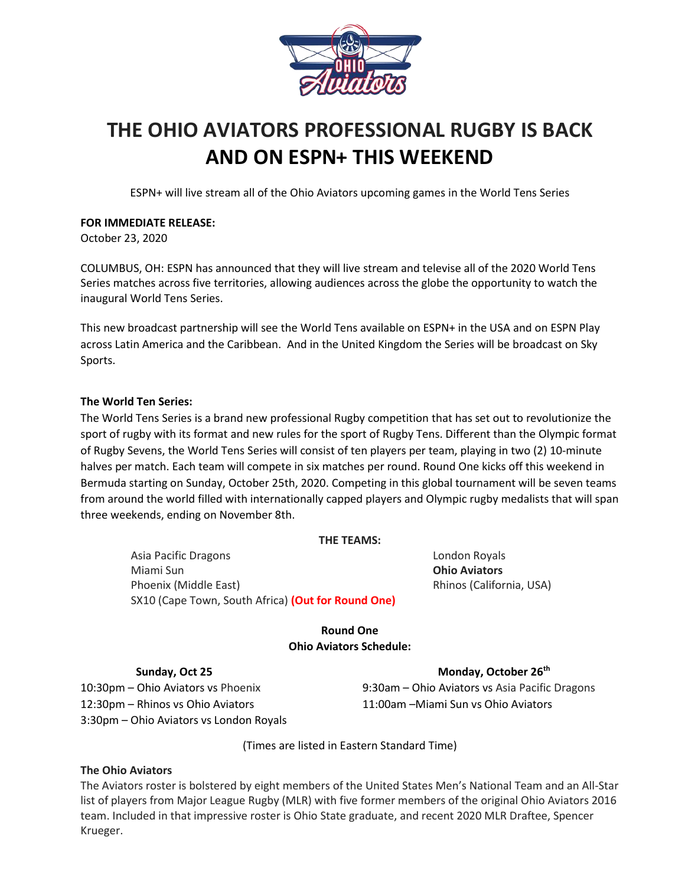

# **THE OHIO AVIATORS PROFESSIONAL RUGBY IS BACK AND ON ESPN+ THIS WEEKEND**

ESPN+ will live stream all of the Ohio Aviators upcoming games in the World Tens Series

# **FOR IMMEDIATE RELEASE:**

October 23, 2020

COLUMBUS, OH: ESPN has announced that they will live stream and televise all of the 2020 World Tens Series matches across five territories, allowing audiences across the globe the opportunity to watch the inaugural World Tens Series.

This new broadcast partnership will see the World Tens available on ESPN+ in the USA and on ESPN Play across Latin America and the Caribbean. And in the United Kingdom the Series will be broadcast on Sky Sports.

# **The World Ten Series:**

The World Tens Series is a brand new professional Rugby competition that has set out to revolutionize the sport of rugby with its format and new rules for the sport of Rugby Tens. Different than the Olympic format of Rugby Sevens, the World Tens Series will consist of ten players per team, playing in two (2) 10-minute halves per match. Each team will compete in six matches per round. Round One kicks off this weekend in Bermuda starting on Sunday, October 25th, 2020. Competing in this global tournament will be seven teams from around the world filled with internationally capped players and Olympic rugby medalists that will span three weekends, ending on November 8th.

# **THE TEAMS:**

Asia Pacific Dragons London Royals Miami Sun **Ohio Aviators** Phoenix (Middle East) Rhinos (California, USA) SX10 (Cape Town, South Africa) **(Out for Round One)**

# **Round One Ohio Aviators Schedule:**

# **Sunday, Oct 25 Monday, October 26th**

12:30pm – Rhinos vs Ohio Aviators 11:00am –Miami Sun vs Ohio Aviators 3:30pm – Ohio Aviators vs London Royals

10:30pm – Ohio Aviators vs Phoenix 9:30am – Ohio Aviators vs Asia Pacific Dragons

(Times are listed in Eastern Standard Time)

# **The Ohio Aviators**

The Aviators roster is bolstered by eight members of the United States Men's National Team and an All-Star list of players from Major League Rugby (MLR) with five former members of the original Ohio Aviators 2016 team. Included in that impressive roster is Ohio State graduate, and recent 2020 MLR Draftee, Spencer Krueger.